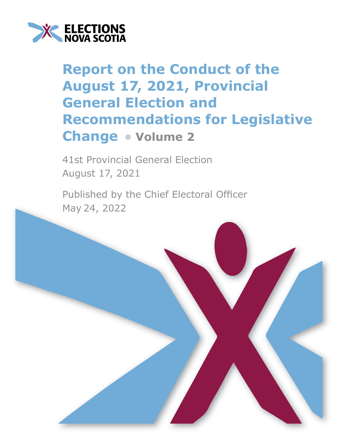

## **Report on the Conduct of the August 17, 2021, Provincial General Election and Recommendations for Legislative Change • Volume 2**

41st Provincial General Election August 17, 2021

Published by the Chief Electoral Officer May 24, 2022

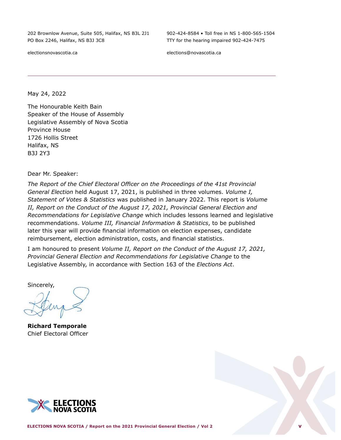202 Brownlow Avenue, Suite 505, Halifax, NS B3L 2J1 PO Box 2246, Halifax, NS B3J 3C8

electionsnovascotia.ca

902-424-8584 • Toll free in NS 1-800-565-1504 TTY for the hearing impaired 902-424-7475

elections@novascotia.ca

May 24, 2022

The Honourable Keith Bain Speaker of the House of Assembly Legislative Assembly of Nova Scotia Province House 1726 Hollis Street Halifax, NS B3J 2Y3

Dear Mr. Speaker:

*The Report of the Chief Electoral Officer on the Proceedings of the 41st Provincial General Election* held August 17, 2021, is published in three volumes. *Volume I, Statement of Votes & Statistics* was published in January 2022. This report is *Volume II, Report on the Conduct of the August 17, 2021, Provincial General Election and Recommendations for Legislative Change* which includes lessons learned and legislative recommendations. *Volume III, Financial Information & Statistics*, to be published later this year will provide financial information on election expenses, candidate reimbursement, election administration, costs, and financial statistics.

I am honoured to present *Volume II, Report on the Conduct of the August 17, 2021, Provincial General Election and Recommendations for Legislative Change* to the Legislative Assembly, in accordance with Section 163 of the *Elections Act*.

Sincerely,

**Richard Temporale** Chief Electoral Officer

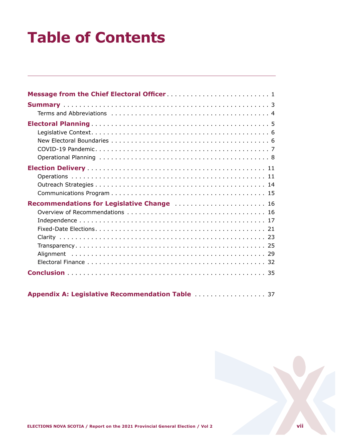# **Table of Contents**

| Recommendations for Legislative Change  16 |
|--------------------------------------------|
|                                            |
|                                            |
|                                            |



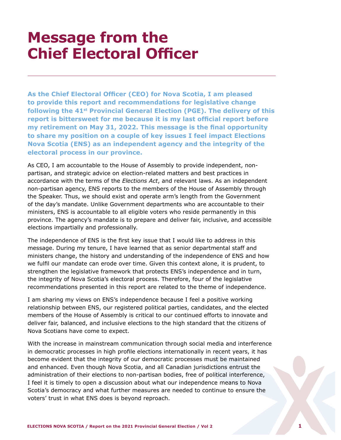## <span id="page-3-0"></span>**Message from the Chief Electoral Officer**

**As the Chief Electoral Officer (CEO) for Nova Scotia, I am pleased to provide this report and recommendations for legislative change following the 41st Provincial General Election (PGE). The delivery of this report is bittersweet for me because it is my last official report before my retirement on May 31, 2022. This message is the final opportunity to share my position on a couple of key issues I feel impact Elections Nova Scotia (ENS) as an independent agency and the integrity of the electoral process in our province.** 

As CEO, I am accountable to the House of Assembly to provide independent, nonpartisan, and strategic advice on election-related matters and best practices in accordance with the terms of the *Elections Act*, and relevant laws. As an independent non-partisan agency, ENS reports to the members of the House of Assembly through the Speaker. Thus, we should exist and operate arm's length from the Government of the day's mandate. Unlike Government departments who are accountable to their ministers, ENS is accountable to all eligible voters who reside permanently in this province. The agency's mandate is to prepare and deliver fair, inclusive, and accessible elections impartially and professionally.

The independence of ENS is the first key issue that I would like to address in this message. During my tenure, I have learned that as senior departmental staff and ministers change, the history and understanding of the independence of ENS and how we fulfil our mandate can erode over time. Given this context alone, it is prudent, to strengthen the legislative framework that protects ENS's independence and in turn, the integrity of Nova Scotia's electoral process. Therefore, four of the legislative recommendations presented in this report are related to the theme of independence.

I am sharing my views on ENS's independence because I feel a positive working relationship between ENS, our registered political parties, candidates, and the elected members of the House of Assembly is critical to our continued efforts to innovate and deliver fair, balanced, and inclusive elections to the high standard that the citizens of Nova Scotians have come to expect.

With the increase in mainstream communication through social media and interference in democratic processes in high profile elections internationally in recent years, it has become evident that the integrity of our democratic processes must be maintained and enhanced. Even though Nova Scotia, and all Canadian jurisdictions entrust the administration of their elections to non-partisan bodies, free of political interference, I feel it is timely to open a discussion about what our independence means to Nova Scotia's democracy and what further measures are needed to continue to ensure the voters' trust in what ENS does is beyond reproach.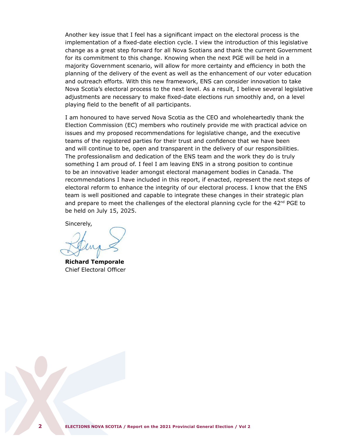Another key issue that I feel has a significant impact on the electoral process is the implementation of a fixed-date election cycle. I view the introduction of this legislative change as a great step forward for all Nova Scotians and thank the current Government for its commitment to this change. Knowing when the next PGE will be held in a majority Government scenario, will allow for more certainty and efficiency in both the planning of the delivery of the event as well as the enhancement of our voter education and outreach efforts. With this new framework, ENS can consider innovation to take Nova Scotia's electoral process to the next level. As a result, I believe several legislative adjustments are necessary to make fixed-date elections run smoothly and, on a level playing field to the benefit of all participants.

I am honoured to have served Nova Scotia as the CEO and wholeheartedly thank the Election Commission (EC) members who routinely provide me with practical advice on issues and my proposed recommendations for legislative change, and the executive teams of the registered parties for their trust and confidence that we have been and will continue to be, open and transparent in the delivery of our responsibilities. The professionalism and dedication of the ENS team and the work they do is truly something I am proud of. I feel I am leaving ENS in a strong position to continue to be an innovative leader amongst electoral management bodies in Canada. The recommendations I have included in this report, if enacted, represent the next steps of electoral reform to enhance the integrity of our electoral process. I know that the ENS team is well positioned and capable to integrate these changes in their strategic plan and prepare to meet the challenges of the electoral planning cycle for the  $42<sup>nd</sup>$  PGE to be held on July 15, 2025.

Sincerely,

**Richard Temporale** Chief Electoral Officer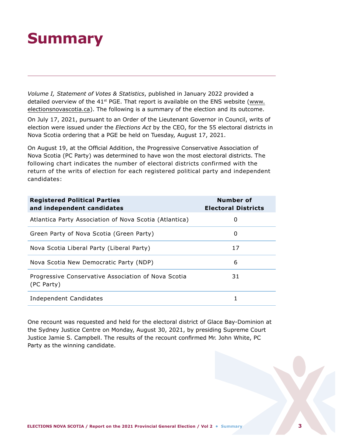## <span id="page-5-0"></span>**Summary**

*Volume I, Statement of Votes & Statistics*, published in January 2022 provided a detailed overview of the 41 $st$  PGE. That report is available on the ENS website [\(www.](http://www.electionsnovascotia.ca) [electionsnovascotia.ca\)](http://www.electionsnovascotia.ca). The following is a summary of the election and its outcome.

On July 17, 2021, pursuant to an Order of the Lieutenant Governor in Council, writs of election were issued under the *Elections Act* by the CEO, for the 55 electoral districts in Nova Scotia ordering that a PGE be held on Tuesday, August 17, 2021.

On August 19, at the Official Addition, the Progressive Conservative Association of Nova Scotia (PC Party) was determined to have won the most electoral districts. The following chart indicates the number of electoral districts confirmed with the return of the writs of election for each registered political party and independent candidates:

| <b>Registered Political Parties</b><br>and independent candidates | Number of<br><b>Electoral Districts</b> |
|-------------------------------------------------------------------|-----------------------------------------|
| Atlantica Party Association of Nova Scotia (Atlantica)            | 0                                       |
| Green Party of Nova Scotia (Green Party)                          | 0                                       |
| Nova Scotia Liberal Party (Liberal Party)                         | 17                                      |
| Nova Scotia New Democratic Party (NDP)                            | 6                                       |
| Progressive Conservative Association of Nova Scotia<br>(PC Party) | 31                                      |
| Independent Candidates                                            | 1                                       |

One recount was requested and held for the electoral district of Glace Bay-Dominion at the Sydney Justice Centre on Monday, August 30, 2021, by presiding Supreme Court Justice Jamie S. Campbell. The results of the recount confirmed Mr. John White, PC Party as the winning candidate.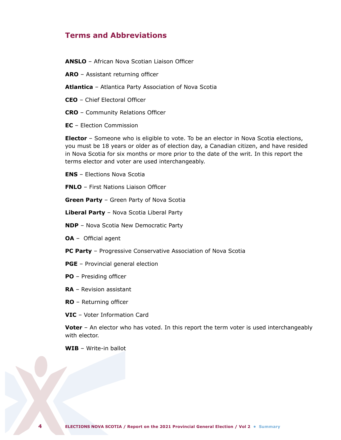## <span id="page-6-0"></span>**Terms and Abbreviations**

**ANSLO** – African Nova Scotian Liaison Officer

**ARO** – Assistant returning officer

- **Atlantica** Atlantica Party Association of Nova Scotia
- **CEO** Chief Electoral Officer
- **CRO** Community Relations Officer
- **EC** Election Commission

**Elector** – Someone who is eligible to vote. To be an elector in Nova Scotia elections, you must be 18 years or older as of election day, a Canadian citizen, and have resided in Nova Scotia for six months or more prior to the date of the writ. In this report the terms elector and voter are used interchangeably.

**ENS** – Elections Nova Scotia

**FNLO** – First Nations Liaison Officer

**Green Party** – Green Party of Nova Scotia

**Liberal Party** – Nova Scotia Liberal Party

**NDP** – Nova Scotia New Democratic Party

**OA** – Official agent

**PC Party** – Progressive Conservative Association of Nova Scotia

- **PGE** Provincial general election
- **PO** Presiding officer
- **RA** Revision assistant
- **RO** Returning officer
- **VIC** Voter Information Card

**Voter** – An elector who has voted. In this report the term voter is used interchangeably with elector.

**WIB** – Write-in ballot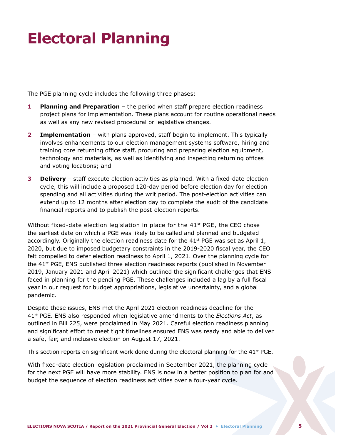## <span id="page-7-0"></span>**Electoral Planning**

The PGE planning cycle includes the following three phases:

- **1 Planning and Preparation** the period when staff prepare election readiness project plans for implementation. These plans account for routine operational needs as well as any new revised procedural or legislative changes.
- **2 Implementation** with plans approved, staff begin to implement. This typically involves enhancements to our election management systems software, hiring and training core returning office staff, procuring and preparing election equipment, technology and materials, as well as identifying and inspecting returning offices and voting locations; and
- **3 Delivery**  staff execute election activities as planned. With a fixed-date election cycle, this will include a proposed 120-day period before election day for election spending and all activities during the writ period. The post-election activities can extend up to 12 months after election day to complete the audit of the candidate financial reports and to publish the post-election reports.

Without fixed-date election legislation in place for the  $41^{st}$  PGE, the CEO chose the earliest date on which a PGE was likely to be called and planned and budgeted accordingly. Originally the election readiness date for the  $41^{st}$  PGE was set as April 1, 2020, but due to imposed budgetary constraints in the 2019-2020 fiscal year, the CEO felt compelled to defer election readiness to April 1, 2021. Over the planning cycle for the 41st PGE, ENS published three election readiness reports (published in November 2019, January 2021 and April 2021) which outlined the significant challenges that ENS faced in planning for the pending PGE. These challenges included a lag by a full fiscal year in our request for budget appropriations, legislative uncertainty, and a global pandemic.

Despite these issues, ENS met the April 2021 election readiness deadline for the 41st PGE. ENS also responded when legislative amendments to the *Elections Act*, as outlined in Bill 225, were proclaimed in May 2021. Careful election readiness planning and significant effort to meet tight timelines ensured ENS was ready and able to deliver a safe, fair, and inclusive election on August 17, 2021.

This section reports on significant work done during the electoral planning for the  $41^{st}$  PGE.

With fixed-date election legislation proclaimed in September 2021, the planning cycle for the next PGE will have more stability. ENS is now in a better position to plan for and budget the sequence of election readiness activities over a four-year cycle.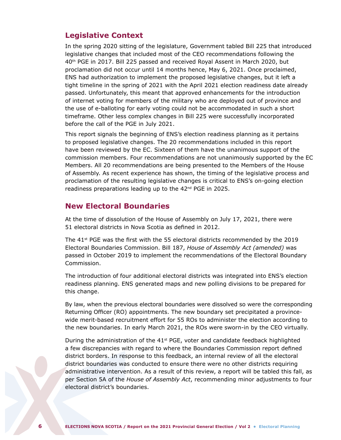## <span id="page-8-0"></span>**Legislative Context**

In the spring 2020 sitting of the legislature, Government tabled Bill 225 that introduced legislative changes that included most of the CEO recommendations following the 40th PGE in 2017. Bill 225 passed and received Royal Assent in March 2020, but proclamation did not occur until 14 months hence, May 6, 2021. Once proclaimed, ENS had authorization to implement the proposed legislative changes, but it left a tight timeline in the spring of 2021 with the April 2021 election readiness date already passed. Unfortunately, this meant that approved enhancements for the introduction of internet voting for members of the military who are deployed out of province and the use of e-balloting for early voting could not be accommodated in such a short timeframe. Other less complex changes in Bill 225 were successfully incorporated before the call of the PGE in July 2021.

This report signals the beginning of ENS's election readiness planning as it pertains to proposed legislative changes. The 20 recommendations included in this report have been reviewed by the EC. Sixteen of them have the unanimous support of the commission members. Four recommendations are not unanimously supported by the EC Members. All 20 recommendations are being presented to the Members of the House of Assembly. As recent experience has shown, the timing of the legislative process and proclamation of the resulting legislative changes is critical to ENS's on-going election readiness preparations leading up to the 42<sup>nd</sup> PGE in 2025.

## **New Electoral Boundaries**

At the time of dissolution of the House of Assembly on July 17, 2021, there were 51 electoral districts in Nova Scotia as defined in 2012.

The  $41<sup>st</sup>$  PGE was the first with the 55 electoral districts recommended by the 2019 Electoral Boundaries Commission. Bill 187, *House of Assembly Act (amended)* was passed in October 2019 to implement the recommendations of the Electoral Boundary Commission.

The introduction of four additional electoral districts was integrated into ENS's election readiness planning. ENS generated maps and new polling divisions to be prepared for this change.

By law, when the previous electoral boundaries were dissolved so were the corresponding Returning Officer (RO) appointments. The new boundary set precipitated a provincewide merit-based recruitment effort for 55 ROs to administer the election according to the new boundaries. In early March 2021, the ROs were sworn-in by the CEO virtually.

During the administration of the  $41<sup>st</sup>$  PGE, voter and candidate feedback highlighted a few discrepancies with regard to where the Boundaries Commission report defined district borders. In response to this feedback, an internal review of all the electoral district boundaries was conducted to ensure there were no other districts requiring administrative intervention. As a result of this review, a report will be tabled this fall, as per Section 5A of the *House of Assembly Act*, recommending minor adjustments to four electoral district's boundaries.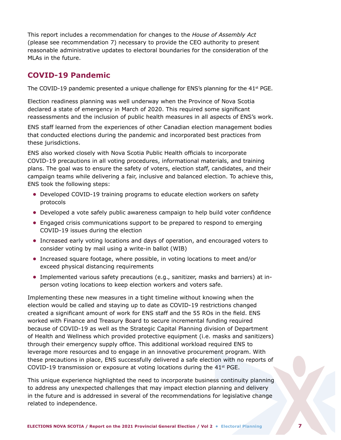<span id="page-9-0"></span>This report includes a recommendation for changes to the *House of Assembly Act*  (please see recommendation 7) necessary to provide the CEO authority to present reasonable administrative updates to electoral boundaries for the consideration of the MLAs in the future.

## **COVID-19 Pandemic**

The COVID-19 pandemic presented a unique challenge for ENS's planning for the  $41^{st}$  PGE.

Election readiness planning was well underway when the Province of Nova Scotia declared a state of emergency in March of 2020. This required some significant reassessments and the inclusion of public health measures in all aspects of ENS's work.

ENS staff learned from the experiences of other Canadian election management bodies that conducted elections during the pandemic and incorporated best practices from these jurisdictions.

ENS also worked closely with Nova Scotia Public Health officials to incorporate COVID-19 precautions in all voting procedures, informational materials, and training plans. The goal was to ensure the safety of voters, election staff, candidates, and their campaign teams while delivering a fair, inclusive and balanced election. To achieve this, ENS took the following steps:

- **•** Developed COVID-19 training programs to educate election workers on safety protocols
- **•** Developed a vote safely public awareness campaign to help build voter confidence
- **•** Engaged crisis communications support to be prepared to respond to emerging COVID-19 issues during the election
- **•** Increased early voting locations and days of operation, and encouraged voters to consider voting by mail using a write-in ballot (WIB)
- **•** Increased square footage, where possible, in voting locations to meet and/or exceed physical distancing requirements
- **•** Implemented various safety precautions (e.g., sanitizer, masks and barriers) at inperson voting locations to keep election workers and voters safe.

Implementing these new measures in a tight timeline without knowing when the election would be called and staying up to date as COVID-19 restrictions changed created a significant amount of work for ENS staff and the 55 ROs in the field. ENS worked with Finance and Treasury Board to secure incremental funding required because of COVID-19 as well as the Strategic Capital Planning division of Department of Health and Wellness which provided protective equipment (i.e. masks and sanitizers) through their emergency supply office. This additional workload required ENS to leverage more resources and to engage in an innovative procurement program. With these precautions in place, ENS successfully delivered a safe election with no reports of COVID-19 transmission or exposure at voting locations during the  $41<sup>st</sup>$  PGE.

This unique experience highlighted the need to incorporate business continuity planning to address any unexpected challenges that may impact election planning and delivery in the future and is addressed in several of the recommendations for legislative change related to independence.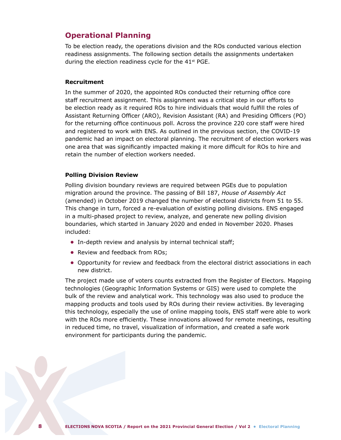## <span id="page-10-0"></span>**Operational Planning**

To be election ready, the operations division and the ROs conducted various election readiness assignments. The following section details the assignments undertaken during the election readiness cycle for the  $41<sup>st</sup>$  PGE.

#### **Recruitment**

In the summer of 2020, the appointed ROs conducted their returning office core staff recruitment assignment. This assignment was a critical step in our efforts to be election ready as it required ROs to hire individuals that would fulfill the roles of Assistant Returning Officer (ARO), Revision Assistant (RA) and Presiding Officers (PO) for the returning office continuous poll. Across the province 220 core staff were hired and registered to work with ENS. As outlined in the previous section, the COVID-19 pandemic had an impact on electoral planning. The recruitment of election workers was one area that was significantly impacted making it more difficult for ROs to hire and retain the number of election workers needed.

#### **Polling Division Review**

Polling division boundary reviews are required between PGEs due to population migration around the province. The passing of Bill 187, *House of Assembly Act* (amended) in October 2019 changed the number of electoral districts from 51 to 55. This change in turn, forced a re-evaluation of existing polling divisions. ENS engaged in a multi-phased project to review, analyze, and generate new polling division boundaries, which started in January 2020 and ended in November 2020. Phases included:

- **•** In-depth review and analysis by internal technical staff;
- **•** Review and feedback from ROs;
- **•** Opportunity for review and feedback from the electoral district associations in each new district.

The project made use of voters counts extracted from the Register of Electors. Mapping technologies (Geographic Information Systems or GIS) were used to complete the bulk of the review and analytical work. This technology was also used to produce the mapping products and tools used by ROs during their review activities. By leveraging this technology, especially the use of online mapping tools, ENS staff were able to work with the ROs more efficiently. These innovations allowed for remote meetings, resulting in reduced time, no travel, visualization of information, and created a safe work environment for participants during the pandemic.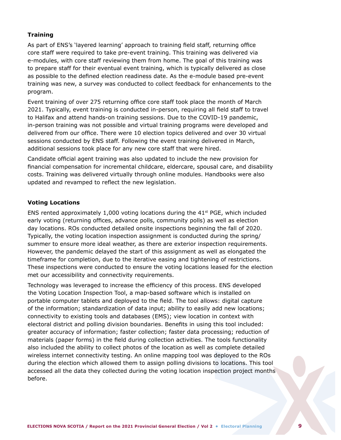#### **Training**

As part of ENS's 'layered learning' approach to training field staff, returning office core staff were required to take pre-event training. This training was delivered via e-modules, with core staff reviewing them from home. The goal of this training was to prepare staff for their eventual event training, which is typically delivered as close as possible to the defined election readiness date. As the e-module based pre-event training was new, a survey was conducted to collect feedback for enhancements to the program.

Event training of over 275 returning office core staff took place the month of March 2021. Typically, event training is conducted in-person, requiring all field staff to travel to Halifax and attend hands-on training sessions. Due to the COVID-19 pandemic, in-person training was not possible and virtual training programs were developed and delivered from our office. There were 10 election topics delivered and over 30 virtual sessions conducted by ENS staff. Following the event training delivered in March, additional sessions took place for any new core staff that were hired.

Candidate official agent training was also updated to include the new provision for financial compensation for incremental childcare, eldercare, spousal care, and disability costs. Training was delivered virtually through online modules. Handbooks were also updated and revamped to reflect the new legislation.

#### **Voting Locations**

ENS rented approximately 1,000 voting locations during the  $41<sup>st</sup>$  PGE, which included early voting (returning offices, advance polls, community polls) as well as election day locations. ROs conducted detailed onsite inspections beginning the fall of 2020. Typically, the voting location inspection assignment is conducted during the spring/ summer to ensure more ideal weather, as there are exterior inspection requirements. However, the pandemic delayed the start of this assignment as well as elongated the timeframe for completion, due to the iterative easing and tightening of restrictions. These inspections were conducted to ensure the voting locations leased for the election met our accessibility and connectivity requirements.

Technology was leveraged to increase the efficiency of this process. ENS developed the Voting Location Inspection Tool, a map-based software which is installed on portable computer tablets and deployed to the field. The tool allows: digital capture of the information; standardization of data input; ability to easily add new locations; connectivity to existing tools and databases (EMS); view location in context with electoral district and polling division boundaries. Benefits in using this tool included: greater accuracy of information; faster collection; faster data processing; reduction of materials (paper forms) in the field during collection activities. The tools functionality also included the ability to collect photos of the location as well as complete detailed wireless internet connectivity testing. An online mapping tool was deployed to the ROs during the election which allowed them to assign polling divisions to locations. This tool accessed all the data they collected during the voting location inspection project months before.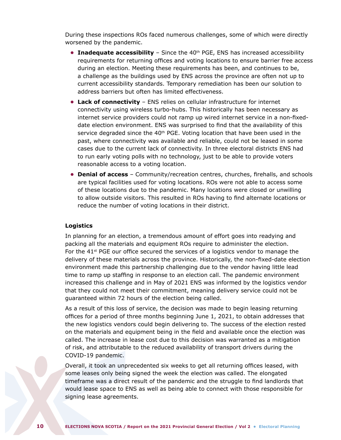During these inspections ROs faced numerous challenges, some of which were directly worsened by the pandemic.

- **Inadequate accessibility** Since the 40<sup>th</sup> PGE, ENS has increased accessibility requirements for returning offices and voting locations to ensure barrier free access during an election. Meeting these requirements has been, and continues to be, a challenge as the buildings used by ENS across the province are often not up to current accessibility standards. Temporary remediation has been our solution to address barriers but often has limited effectiveness.
- **• Lack of connectivity** ENS relies on cellular infrastructure for internet connectivity using wireless turbo-hubs. This historically has been necessary as internet service providers could not ramp up wired internet service in a non-fixeddate election environment. ENS was surprised to find that the availability of this service degraded since the  $40<sup>th</sup>$  PGE. Voting location that have been used in the past, where connectivity was available and reliable, could not be leased in some cases due to the current lack of connectivity. In three electoral districts ENS had to run early voting polls with no technology, just to be able to provide voters reasonable access to a voting location.
- **• Denial of access**  Community/recreation centres, churches, firehalls, and schools are typical facilities used for voting locations. ROs were not able to access some of these locations due to the pandemic. Many locations were closed or unwilling to allow outside visitors. This resulted in ROs having to find alternate locations or reduce the number of voting locations in their district.

#### **Logistics**

In planning for an election, a tremendous amount of effort goes into readying and packing all the materials and equipment ROs require to administer the election. For the  $41<sup>st</sup>$  PGE our office secured the services of a logistics vendor to manage the delivery of these materials across the province. Historically, the non-fixed-date election environment made this partnership challenging due to the vendor having little lead time to ramp up staffing in response to an election call. The pandemic environment increased this challenge and in May of 2021 ENS was informed by the logistics vendor that they could not meet their commitment, meaning delivery service could not be guaranteed within 72 hours of the election being called.

As a result of this loss of service, the decision was made to begin leasing returning offices for a period of three months beginning June 1, 2021, to obtain addresses that the new logistics vendors could begin delivering to. The success of the election rested on the materials and equipment being in the field and available once the election was called. The increase in lease cost due to this decision was warranted as a mitigation of risk, and attributable to the reduced availability of transport drivers during the COVID-19 pandemic.

Overall, it took an unprecedented six weeks to get all returning offices leased, with some leases only being signed the week the election was called. The elongated timeframe was a direct result of the pandemic and the struggle to find landlords that would lease space to ENS as well as being able to connect with those responsible for signing lease agreements.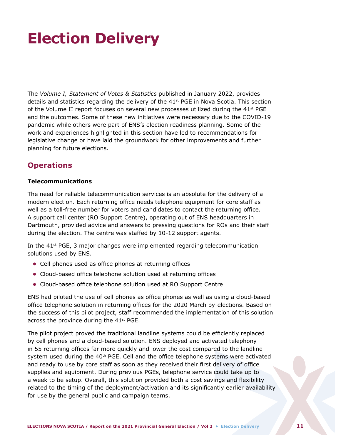## <span id="page-13-0"></span>**Election Delivery**

The *Volume I, Statement of Votes & Statistics* published in January 2022, provides details and statistics regarding the delivery of the  $41<sup>st</sup> PGE$  in Nova Scotia. This section of the Volume II report focuses on several new processes utilized during the  $41<sup>st</sup>$  PGE and the outcomes. Some of these new initiatives were necessary due to the COVID-19 pandemic while others were part of ENS's election readiness planning. Some of the work and experiences highlighted in this section have led to recommendations for legislative change or have laid the groundwork for other improvements and further planning for future elections.

## **Operations**

### **Telecommunications**

The need for reliable telecommunication services is an absolute for the delivery of a modern election. Each returning office needs telephone equipment for core staff as well as a toll-free number for voters and candidates to contact the returning office. A support call center (RO Support Centre), operating out of ENS headquarters in Dartmouth, provided advice and answers to pressing questions for ROs and their staff during the election. The centre was staffed by 10-12 support agents.

In the  $41<sup>st</sup>$  PGE, 3 major changes were implemented regarding telecommunication solutions used by ENS.

- **•** Cell phones used as office phones at returning offices
- **•** Cloud-based office telephone solution used at returning offices
- **•** Cloud-based office telephone solution used at RO Support Centre

ENS had piloted the use of cell phones as office phones as well as using a cloud-based office telephone solution in returning offices for the 2020 March by-elections. Based on the success of this pilot project, staff recommended the implementation of this solution across the province during the 41<sup>st</sup> PGE.

The pilot project proved the traditional landline systems could be efficiently replaced by cell phones and a cloud-based solution. ENS deployed and activated telephony in 55 returning offices far more quickly and lower the cost compared to the landline system used during the  $40<sup>th</sup>$  PGE. Cell and the office telephone systems were activated and ready to use by core staff as soon as they received their first delivery of office supplies and equipment. During previous PGEs, telephone service could take up to a week to be setup. Overall, this solution provided both a cost savings and flexibility related to the timing of the deployment/activation and its significantly earlier availability for use by the general public and campaign teams.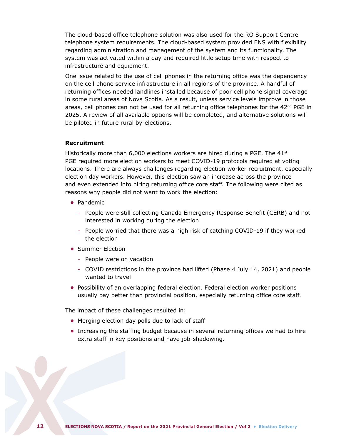The cloud-based office telephone solution was also used for the RO Support Centre telephone system requirements. The cloud-based system provided ENS with flexibility regarding administration and management of the system and its functionality. The system was activated within a day and required little setup time with respect to infrastructure and equipment.

One issue related to the use of cell phones in the returning office was the dependency on the cell phone service infrastructure in all regions of the province. A handful of returning offices needed landlines installed because of poor cell phone signal coverage in some rural areas of Nova Scotia. As a result, unless service levels improve in those areas, cell phones can not be used for all returning office telephones for the  $42<sup>nd</sup>$  PGE in 2025. A review of all available options will be completed, and alternative solutions will be piloted in future rural by-elections.

#### **Recruitment**

Historically more than 6,000 elections workers are hired during a PGE. The  $41^{st}$ PGE required more election workers to meet COVID-19 protocols required at voting locations. There are always challenges regarding election worker recruitment, especially election day workers. However, this election saw an increase across the province and even extended into hiring returning office core staff. The following were cited as reasons why people did not want to work the election:

- **•** Pandemic
	- People were still collecting Canada Emergency Response Benefit (CERB) and not interested in working during the election
	- People worried that there was a high risk of catching COVID-19 if they worked the election
- **•** Summer Election
	- People were on vacation
	- COVID restrictions in the province had lifted (Phase 4 July 14, 2021) and people wanted to travel
- **•** Possibility of an overlapping federal election. Federal election worker positions usually pay better than provincial position, especially returning office core staff.

The impact of these challenges resulted in:

- **•** Merging election day polls due to lack of staff
- **•** Increasing the staffing budget because in several returning offices we had to hire extra staff in key positions and have job-shadowing.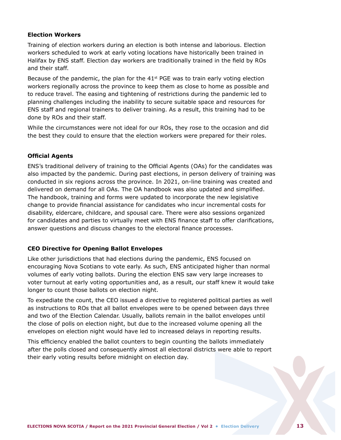#### **Election Workers**

Training of election workers during an election is both intense and laborious. Election workers scheduled to work at early voting locations have historically been trained in Halifax by ENS staff. Election day workers are traditionally trained in the field by ROs and their staff.

Because of the pandemic, the plan for the  $41<sup>st</sup>$  PGE was to train early voting election workers regionally across the province to keep them as close to home as possible and to reduce travel. The easing and tightening of restrictions during the pandemic led to planning challenges including the inability to secure suitable space and resources for ENS staff and regional trainers to deliver training. As a result, this training had to be done by ROs and their staff.

While the circumstances were not ideal for our ROs, they rose to the occasion and did the best they could to ensure that the election workers were prepared for their roles.

#### **Official Agents**

ENS's traditional delivery of training to the Official Agents (OAs) for the candidates was also impacted by the pandemic. During past elections, in person delivery of training was conducted in six regions across the province. In 2021, on-line training was created and delivered on demand for all OAs. The OA handbook was also updated and simplified. The handbook, training and forms were updated to incorporate the new legislative change to provide financial assistance for candidates who incur incremental costs for disability, eldercare, childcare, and spousal care. There were also sessions organized for candidates and parties to virtually meet with ENS finance staff to offer clarifications, answer questions and discuss changes to the electoral finance processes.

#### **CEO Directive for Opening Ballot Envelopes**

Like other jurisdictions that had elections during the pandemic, ENS focused on encouraging Nova Scotians to vote early. As such, ENS anticipated higher than normal volumes of early voting ballots. During the election ENS saw very large increases to voter turnout at early voting opportunities and, as a result, our staff knew it would take longer to count those ballots on election night.

To expediate the count, the CEO issued a directive to registered political parties as well as instructions to ROs that all ballot envelopes were to be opened between days three and two of the Election Calendar. Usually, ballots remain in the ballot envelopes until the close of polls on election night, but due to the increased volume opening all the envelopes on election night would have led to increased delays in reporting results.

This efficiency enabled the ballot counters to begin counting the ballots immediately after the polls closed and consequently almost all electoral districts were able to report their early voting results before midnight on election day.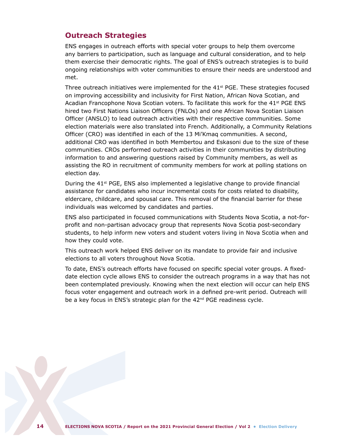## <span id="page-16-0"></span>**Outreach Strategies**

ENS engages in outreach efforts with special voter groups to help them overcome any barriers to participation, such as language and cultural consideration, and to help them exercise their democratic rights. The goal of ENS's outreach strategies is to build ongoing relationships with voter communities to ensure their needs are understood and met.

Three outreach initiatives were implemented for the  $41<sup>st</sup>$  PGE. These strategies focused on improving accessibility and inclusivity for First Nation, African Nova Scotian, and Acadian Francophone Nova Scotian voters. To facilitate this work for the  $41<sup>st</sup>$  PGE ENS hired two First Nations Liaison Officers (FNLOs) and one African Nova Scotian Liaison Officer (ANSLO) to lead outreach activities with their respective communities. Some election materials were also translated into French. Additionally, a Community Relations Officer (CRO) was identified in each of the 13 Mi'Kmaq communities. A second, additional CRO was identified in both Membertou and Eskasoni due to the size of these communities. CROs performed outreach activities in their communities by distributing information to and answering questions raised by Community members, as well as assisting the RO in recruitment of community members for work at polling stations on election day.

During the  $41^{st}$  PGE, ENS also implemented a legislative change to provide financial assistance for candidates who incur incremental costs for costs related to disability, eldercare, childcare, and spousal care. This removal of the financial barrier for these individuals was welcomed by candidates and parties.

ENS also participated in focused communications with Students Nova Scotia, a not-forprofit and non-partisan advocacy group that represents Nova Scotia post-secondary students, to help inform new voters and student voters living in Nova Scotia when and how they could vote.

This outreach work helped ENS deliver on its mandate to provide fair and inclusive elections to all voters throughout Nova Scotia.

To date, ENS's outreach efforts have focused on specific special voter groups. A fixeddate election cycle allows ENS to consider the outreach programs in a way that has not been contemplated previously. Knowing when the next election will occur can help ENS focus voter engagement and outreach work in a defined pre-writ period. Outreach will be a key focus in ENS's strategic plan for the 42<sup>nd</sup> PGE readiness cycle.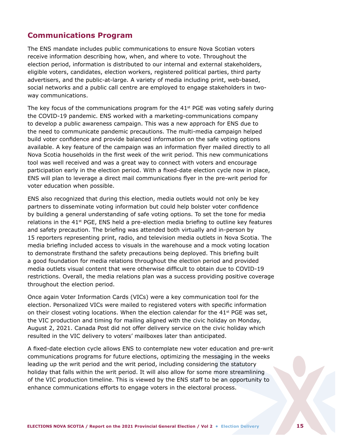## <span id="page-17-0"></span>**Communications Program**

The ENS mandate includes public communications to ensure Nova Scotian voters receive information describing how, when, and where to vote. Throughout the election period, information is distributed to our internal and external stakeholders, eligible voters, candidates, election workers, registered political parties, third party advertisers, and the public-at-large. A variety of media including print, web-based, social networks and a public call centre are employed to engage stakeholders in twoway communications.

The key focus of the communications program for the  $41<sup>st</sup>$  PGE was voting safely during the COVID-19 pandemic. ENS worked with a marketing-communications company to develop a public awareness campaign. This was a new approach for ENS due to the need to communicate pandemic precautions. The multi-media campaign helped build voter confidence and provide balanced information on the safe voting options available. A key feature of the campaign was an information flyer mailed directly to all Nova Scotia households in the first week of the writ period. This new communications tool was well received and was a great way to connect with voters and encourage participation early in the election period. With a fixed-date election cycle now in place, ENS will plan to leverage a direct mail communications flyer in the pre-writ period for voter education when possible.

ENS also recognized that during this election, media outlets would not only be key partners to disseminate voting information but could help bolster voter confidence by building a general understanding of safe voting options. To set the tone for media relations in the  $41<sup>st</sup>$  PGE, ENS held a pre-election media briefing to outline key features and safety precaution. The briefing was attended both virtually and in-person by 15 reporters representing print, radio, and television media outlets in Nova Scotia. The media briefing included access to visuals in the warehouse and a mock voting location to demonstrate firsthand the safety precautions being deployed. This briefing built a good foundation for media relations throughout the election period and provided media outlets visual content that were otherwise difficult to obtain due to COVID-19 restrictions. Overall, the media relations plan was a success providing positive coverage throughout the election period.

Once again Voter Information Cards (VICs) were a key communication tool for the election. Personalized VICs were mailed to registered voters with specific information on their closest voting locations. When the election calendar for the  $41^{st}$  PGE was set, the VIC production and timing for mailing aligned with the civic holiday on Monday, August 2, 2021. Canada Post did not offer delivery service on the civic holiday which resulted in the VIC delivery to voters' mailboxes later than anticipated.

A fixed-date election cycle allows ENS to contemplate new voter education and pre-writ communications programs for future elections, optimizing the messaging in the weeks leading up the writ period and the writ period, including considering the statutory holiday that falls within the writ period. It will also allow for some more streamlining of the VIC production timeline. This is viewed by the ENS staff to be an opportunity to enhance communications efforts to engage voters in the electoral process.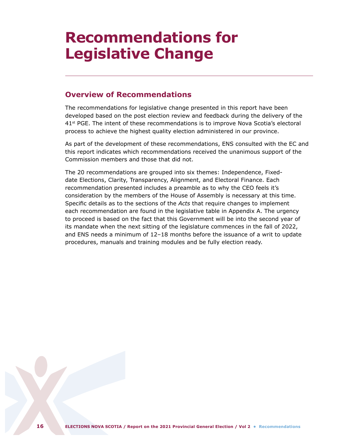## <span id="page-18-0"></span>**Recommendations for Legislative Change**

## **Overview of Recommendations**

The recommendations for legislative change presented in this report have been developed based on the post election review and feedback during the delivery of the 41st PGE. The intent of these recommendations is to improve Nova Scotia's electoral process to achieve the highest quality election administered in our province.

As part of the development of these recommendations, ENS consulted with the EC and this report indicates which recommendations received the unanimous support of the Commission members and those that did not.

The 20 recommendations are grouped into six themes: Independence, Fixeddate Elections, Clarity, Transparency, Alignment, and Electoral Finance. Each recommendation presented includes a preamble as to why the CEO feels it's consideration by the members of the House of Assembly is necessary at this time. Specific details as to the sections of the *Acts* that require changes to implement each recommendation are found in the legislative table in Appendix A. The urgency to proceed is based on the fact that this Government will be into the second year of its mandate when the next sitting of the legislature commences in the fall of 2022, and ENS needs a minimum of 12–18 months before the issuance of a writ to update procedures, manuals and training modules and be fully election ready.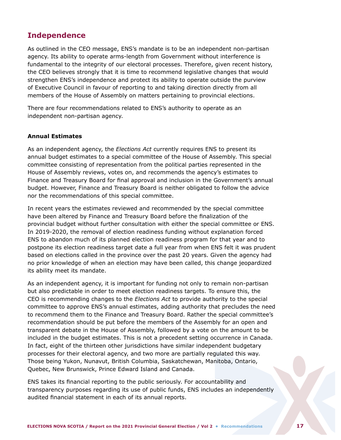## <span id="page-19-0"></span>**Independence**

As outlined in the CEO message, ENS's mandate is to be an independent non-partisan agency. Its ability to operate arms-length from Government without interference is fundamental to the integrity of our electoral processes. Therefore, given recent history, the CEO believes strongly that it is time to recommend legislative changes that would strengthen ENS's independence and protect its ability to operate outside the purview of Executive Council in favour of reporting to and taking direction directly from all members of the House of Assembly on matters pertaining to provincial elections.

There are four recommendations related to ENS's authority to operate as an independent non-partisan agency.

#### **Annual Estimates**

As an independent agency, the *Elections Act* currently requires ENS to present its annual budget estimates to a special committee of the House of Assembly. This special committee consisting of representation from the political parties represented in the House of Assembly reviews, votes on, and recommends the agency's estimates to Finance and Treasury Board for final approval and inclusion in the Government's annual budget. However, Finance and Treasury Board is neither obligated to follow the advice nor the recommendations of this special committee.

In recent years the estimates reviewed and recommended by the special committee have been altered by Finance and Treasury Board before the finalization of the provincial budget without further consultation with either the special committee or ENS. In 2019-2020, the removal of election readiness funding without explanation forced ENS to abandon much of its planned election readiness program for that year and to postpone its election readiness target date a full year from when ENS felt it was prudent based on elections called in the province over the past 20 years. Given the agency had no prior knowledge of when an election may have been called, this change jeopardized its ability meet its mandate.

As an independent agency, it is important for funding not only to remain non-partisan but also predictable in order to meet election readiness targets. To ensure this, the CEO is recommending changes to the *Elections Act* to provide authority to the special committee to approve ENS's annual estimates, adding authority that precludes the need to recommend them to the Finance and Treasury Board. Rather the special committee's recommendation should be put before the members of the Assembly for an open and transparent debate in the House of Assembly, followed by a vote on the amount to be included in the budget estimates. This is not a precedent setting occurrence in Canada. In fact, eight of the thirteen other jurisdictions have similar independent budgetary processes for their electoral agency, and two more are partially regulated this way. Those being Yukon, Nunavut, British Columbia, Saskatchewan, Manitoba, Ontario, Quebec, New Brunswick, Prince Edward Island and Canada.

ENS takes its financial reporting to the public seriously. For accountability and transparency purposes regarding its use of public funds, ENS includes an independently audited financial statement in each of its annual reports.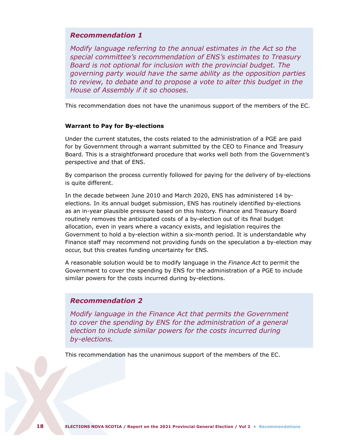### *Recommendation 1*

*Modify language referring to the annual estimates in the Act so the special committee's recommendation of ENS's estimates to Treasury Board is not optional for inclusion with the provincial budget. The governing party would have the same ability as the opposition parties to review, to debate and to propose a vote to alter this budget in the House of Assembly if it so chooses.*

This recommendation does not have the unanimous support of the members of the EC.

#### **Warrant to Pay for By-elections**

Under the current statutes, the costs related to the administration of a PGE are paid for by Government through a warrant submitted by the CEO to Finance and Treasury Board. This is a straightforward procedure that works well both from the Government's perspective and that of ENS.

By comparison the process currently followed for paying for the delivery of by-elections is quite different.

In the decade between June 2010 and March 2020, ENS has administered 14 byelections. In its annual budget submission, ENS has routinely identified by-elections as an in-year plausible pressure based on this history. Finance and Treasury Board routinely removes the anticipated costs of a by-election out of its final budget allocation, even in years where a vacancy exists, and legislation requires the Government to hold a by-election within a six-month period. It is understandable why Finance staff may recommend not providing funds on the speculation a by-election may occur, but this creates funding uncertainty for ENS.

A reasonable solution would be to modify language in the *Finance Act* to permit the Government to cover the spending by ENS for the administration of a PGE to include similar powers for the costs incurred during by-elections.

## *Recommendation 2*

*Modify language in the Finance Act that permits the Government to cover the spending by ENS for the administration of a general election to include similar powers for the costs incurred during by-elections.*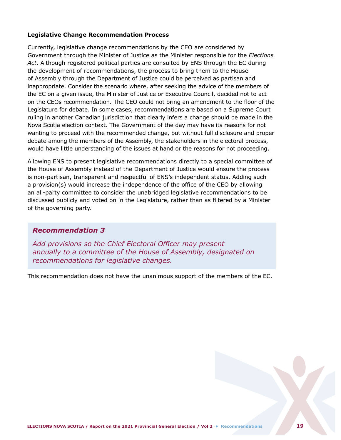#### **Legislative Change Recommendation Process**

Currently, legislative change recommendations by the CEO are considered by Government through the Minister of Justice as the Minister responsible for the *Elections Act*. Although registered political parties are consulted by ENS through the EC during the development of recommendations, the process to bring them to the House of Assembly through the Department of Justice could be perceived as partisan and inappropriate. Consider the scenario where, after seeking the advice of the members of the EC on a given issue, the Minister of Justice or Executive Council, decided not to act on the CEOs recommendation. The CEO could not bring an amendment to the floor of the Legislature for debate. In some cases, recommendations are based on a Supreme Court ruling in another Canadian jurisdiction that clearly infers a change should be made in the Nova Scotia election context. The Government of the day may have its reasons for not wanting to proceed with the recommended change, but without full disclosure and proper debate among the members of the Assembly, the stakeholders in the electoral process, would have little understanding of the issues at hand or the reasons for not proceeding.

Allowing ENS to present legislative recommendations directly to a special committee of the House of Assembly instead of the Department of Justice would ensure the process is non-partisan, transparent and respectful of ENS's independent status. Adding such a provision(s) would increase the independence of the office of the CEO by allowing an all-party committee to consider the unabridged legislative recommendations to be discussed publicly and voted on in the Legislature, rather than as filtered by a Minister of the governing party.

## *Recommendation 3*

*Add provisions so the Chief Electoral Officer may present annually to a committee of the House of Assembly, designated on recommendations for legislative changes.*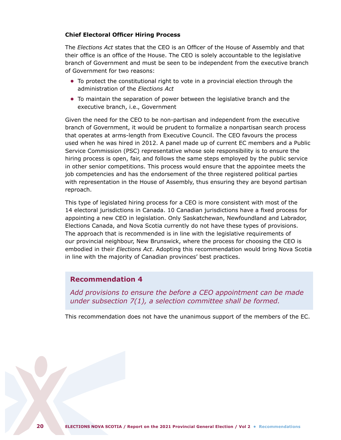#### **Chief Electoral Officer Hiring Process**

The *Elections Act* states that the CEO is an Officer of the House of Assembly and that their office is an office of the House. The CEO is solely accountable to the legislative branch of Government and must be seen to be independent from the executive branch of Government for two reasons:

- **•** To protect the constitutional right to vote in a provincial election through the administration of the *Elections Act*
- **•** To maintain the separation of power between the legislative branch and the executive branch, i.e., Government

Given the need for the CEO to be non-partisan and independent from the executive branch of Government, it would be prudent to formalize a nonpartisan search process that operates at arms-length from Executive Council. The CEO favours the process used when he was hired in 2012. A panel made up of current EC members and a Public Service Commission (PSC) representative whose sole responsibility is to ensure the hiring process is open, fair, and follows the same steps employed by the public service in other senior competitions. This process would ensure that the appointee meets the job competencies and has the endorsement of the three registered political parties with representation in the House of Assembly, thus ensuring they are beyond partisan reproach.

This type of legislated hiring process for a CEO is more consistent with most of the 14 electoral jurisdictions in Canada. 10 Canadian jurisdictions have a fixed process for appointing a new CEO in legislation. Only Saskatchewan, Newfoundland and Labrador, Elections Canada, and Nova Scotia currently do not have these types of provisions. The approach that is recommended is in line with the legislative requirements of our provincial neighbour, New Brunswick, where the process for choosing the CEO is embodied in their *Elections Act*. Adopting this recommendation would bring Nova Scotia in line with the majority of Canadian provinces' best practices.

## **Recommendation 4**

*Add provisions to ensure the before a CEO appointment can be made under subsection 7(1), a selection committee shall be formed.*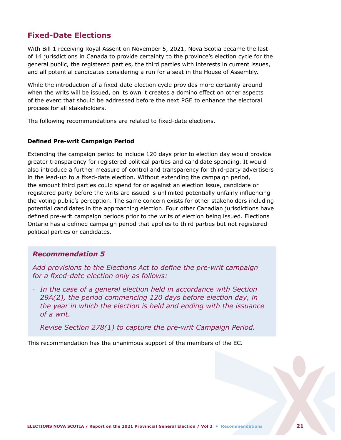## <span id="page-23-0"></span>**Fixed-Date Elections**

With Bill 1 receiving Royal Assent on November 5, 2021, Nova Scotia became the last of 14 jurisdictions in Canada to provide certainty to the province's election cycle for the general public, the registered parties, the third parties with interests in current issues, and all potential candidates considering a run for a seat in the House of Assembly.

While the introduction of a fixed-date election cycle provides more certainty around when the writs will be issued, on its own it creates a domino effect on other aspects of the event that should be addressed before the next PGE to enhance the electoral process for all stakeholders.

The following recommendations are related to fixed-date elections.

#### **Defined Pre-writ Campaign Period**

Extending the campaign period to include 120 days prior to election day would provide greater transparency for registered political parties and candidate spending. It would also introduce a further measure of control and transparency for third-party advertisers in the lead-up to a fixed-date election. Without extending the campaign period, the amount third parties could spend for or against an election issue, candidate or registered party before the writs are issued is unlimited potentially unfairly influencing the voting public's perception. The same concern exists for other stakeholders including potential candidates in the approaching election. Four other Canadian jurisdictions have defined pre-writ campaign periods prior to the writs of election being issued. Elections Ontario has a defined campaign period that applies to third parties but not registered political parties or candidates.

### *Recommendation 5*

*Add provisions to the Elections Act to define the pre-writ campaign for a fixed-date election only as follows:* 

- *In the case of a general election held in accordance with Section 29A(2), the period commencing 120 days before election day, in the year in which the election is held and ending with the issuance of a writ.*
- *Revise Section 278(1) to capture the pre-writ Campaign Period.*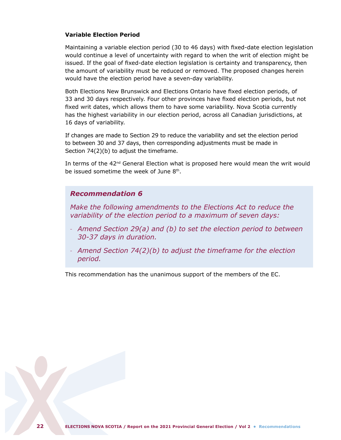#### **Variable Election Period**

Maintaining a variable election period (30 to 46 days) with fixed-date election legislation would continue a level of uncertainty with regard to when the writ of election might be issued. If the goal of fixed-date election legislation is certainty and transparency, then the amount of variability must be reduced or removed. The proposed changes herein would have the election period have a seven-day variability.

Both Elections New Brunswick and Elections Ontario have fixed election periods, of 33 and 30 days respectively. Four other provinces have fixed election periods, but not fixed writ dates, which allows them to have some variability. Nova Scotia currently has the highest variability in our election period, across all Canadian jurisdictions, at 16 days of variability.

If changes are made to Section 29 to reduce the variability and set the election period to between 30 and 37 days, then corresponding adjustments must be made in Section 74(2)(b) to adjust the timeframe.

In terms of the 42<sup>nd</sup> General Election what is proposed here would mean the writ would be issued sometime the week of June 8th.

## *Recommendation 6*

*Make the following amendments to the Elections Act to reduce the variability of the election period to a maximum of seven days:*

- *Amend Section 29(a) and (b) to set the election period to between 30-37 days in duration.*
- *Amend Section 74(2)(b) to adjust the timeframe for the election period.*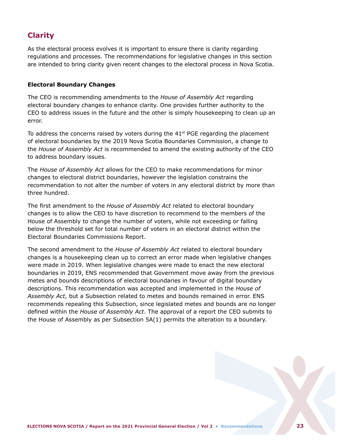## <span id="page-25-0"></span>**Clarity**

As the electoral process evolves it is important to ensure there is clarity regarding regulations and processes. The recommendations for legislative changes in this section are intended to bring clarity given recent changes to the electoral process in Nova Scotia.

#### **Electoral Boundary Changes**

The CEO is recommending amendments to the *House of Assembly Act* regarding electoral boundary changes to enhance clarity. One provides further authority to the CEO to address issues in the future and the other is simply housekeeping to clean up an error.

To address the concerns raised by voters during the  $41<sup>st</sup>$  PGE regarding the placement of electoral boundaries by the 2019 Nova Scotia Boundaries Commission, a change to the *House of Assembly Act* is recommended to amend the existing authority of the CEO to address boundary issues.

The *House of Assembly Act* allows for the CEO to make recommendations for minor changes to electoral district boundaries, however the legislation constrains the recommendation to not alter the number of voters in any electoral district by more than three hundred.

The first amendment to the *House of Assembly Act* related to electoral boundary changes is to allow the CEO to have discretion to recommend to the members of the House of Assembly to change the number of voters, while not exceeding or falling below the threshold set for total number of voters in an electoral district within the Electoral Boundaries Commissions Report.

The second amendment to the *House of Assembly Act* related to electoral boundary changes is a housekeeping clean up to correct an error made when legislative changes were made in 2019. When legislative changes were made to enact the new electoral boundaries in 2019, ENS recommended that Government move away from the previous metes and bounds descriptions of electoral boundaries in favour of digital boundary descriptions. This recommendation was accepted and implemented in the *House of Assembly Act*, but a Subsection related to metes and bounds remained in error. ENS recommends repealing this Subsection, since legislated metes and bounds are no longer defined within the *House of Assembly Act*. The approval of a report the CEO submits to the House of Assembly as per Subsection 5A(1) permits the alteration to a boundary.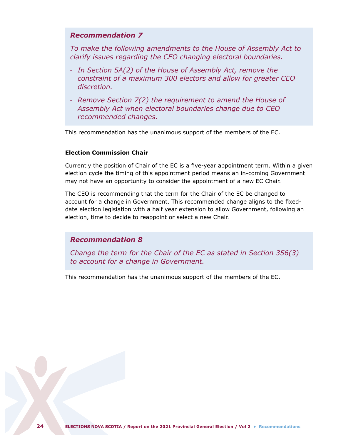## *Recommendation 7*

*To make the following amendments to the House of Assembly Act to clarify issues regarding the CEO changing electoral boundaries.*

- *In Section 5A(2) of the House of Assembly Act, remove the constraint of a maximum 300 electors and allow for greater CEO discretion.*
- *Remove Section 7(2) the requirement to amend the House of Assembly Act when electoral boundaries change due to CEO recommended changes.*

This recommendation has the unanimous support of the members of the EC.

#### **Election Commission Chair**

Currently the position of Chair of the EC is a five-year appointment term. Within a given election cycle the timing of this appointment period means an in-coming Government may not have an opportunity to consider the appointment of a new EC Chair.

The CEO is recommending that the term for the Chair of the EC be changed to account for a change in Government. This recommended change aligns to the fixeddate election legislation with a half year extension to allow Government, following an election, time to decide to reappoint or select a new Chair.

### *Recommendation 8*

*Change the term for the Chair of the EC as stated in Section 356(3) to account for a change in Government.*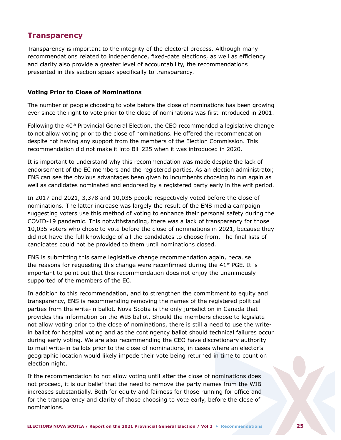## <span id="page-27-0"></span>**Transparency**

Transparency is important to the integrity of the electoral process. Although many recommendations related to independence, fixed-date elections, as well as efficiency and clarity also provide a greater level of accountability, the recommendations presented in this section speak specifically to transparency.

#### **Voting Prior to Close of Nominations**

The number of people choosing to vote before the close of nominations has been growing ever since the right to vote prior to the close of nominations was first introduced in 2001.

Following the  $40<sup>th</sup>$  Provincial General Election, the CEO recommended a legislative change to not allow voting prior to the close of nominations. He offered the recommendation despite not having any support from the members of the Election Commission. This recommendation did not make it into Bill 225 when it was introduced in 2020.

It is important to understand why this recommendation was made despite the lack of endorsement of the EC members and the registered parties. As an election administrator, ENS can see the obvious advantages been given to incumbents choosing to run again as well as candidates nominated and endorsed by a registered party early in the writ period.

In 2017 and 2021, 3,378 and 10,035 people respectively voted before the close of nominations. The latter increase was largely the result of the ENS media campaign suggesting voters use this method of voting to enhance their personal safety during the COVID-19 pandemic. This notwithstanding, there was a lack of transparency for those 10,035 voters who chose to vote before the close of nominations in 2021, because they did not have the full knowledge of all the candidates to choose from. The final lists of candidates could not be provided to them until nominations closed.

ENS is submitting this same legislative change recommendation again, because the reasons for requesting this change were reconfirmed during the  $41<sup>st</sup> PGE$ . It is important to point out that this recommendation does not enjoy the unanimously supported of the members of the EC.

In addition to this recommendation, and to strengthen the commitment to equity and transparency, ENS is recommending removing the names of the registered political parties from the write-in ballot. Nova Scotia is the only jurisdiction in Canada that provides this information on the WIB ballot. Should the members choose to legislate not allow voting prior to the close of nominations, there is still a need to use the writein ballot for hospital voting and as the contingency ballot should technical failures occur during early voting. We are also recommending the CEO have discretionary authority to mail write-in ballots prior to the close of nominations, in cases where an elector's geographic location would likely impede their vote being returned in time to count on election night.

If the recommendation to not allow voting until after the close of nominations does not proceed, it is our belief that the need to remove the party names from the WIB increases substantially. Both for equity and fairness for those running for office and for the transparency and clarity of those choosing to vote early, before the close of nominations.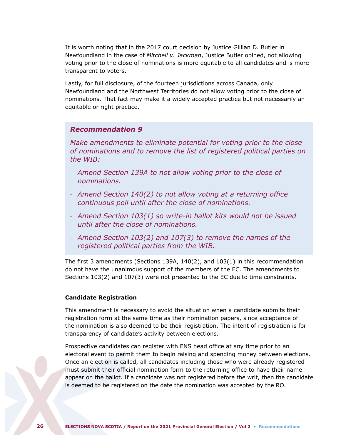It is worth noting that in the 2017 court decision by Justice Gillian D. Butler in Newfoundland in the case of *Mitchell v. Jackman*, Justice Butler opined, not allowing voting prior to the close of nominations is more equitable to all candidates and is more transparent to voters.

Lastly, for full disclosure, of the fourteen jurisdictions across Canada, only Newfoundland and the Northwest Territories do not allow voting prior to the close of nominations. That fact may make it a widely accepted practice but not necessarily an equitable or right practice.

### *Recommendation 9*

*Make amendments to eliminate potential for voting prior to the close of nominations and to remove the list of registered political parties on the WIB:*

- *Amend Section 139A to not allow voting prior to the close of nominations.*
- *Amend Section 140(2) to not allow voting at a returning office continuous poll until after the close of nominations.*
- *Amend Section 103(1) so write-in ballot kits would not be issued until after the close of nominations.*
- *Amend Section 103(2) and 107(3) to remove the names of the registered political parties from the WIB.*

The first 3 amendments (Sections 139A, 140(2), and 103(1) in this recommendation do not have the unanimous support of the members of the EC. The amendments to Sections 103(2) and 107(3) were not presented to the EC due to time constraints.

#### **Candidate Registration**

This amendment is necessary to avoid the situation when a candidate submits their registration form at the same time as their nomination papers, since acceptance of the nomination is also deemed to be their registration. The intent of registration is for transparency of candidate's activity between elections.

Prospective candidates can register with ENS head office at any time prior to an electoral event to permit them to begin raising and spending money between elections. Once an election is called, all candidates including those who were already registered must submit their official nomination form to the returning office to have their name appear on the ballot. If a candidate was not registered before the writ, then the candidate is deemed to be registered on the date the nomination was accepted by the RO.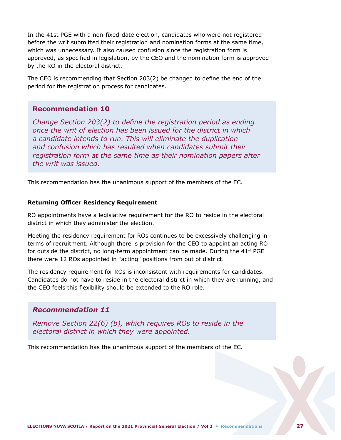In the 41st PGE with a non-fixed-date election, candidates who were not registered before the writ submitted their registration and nomination forms at the same time, which was unnecessary. It also caused confusion since the registration form is approved, as specified in legislation, by the CEO and the nomination form is approved by the RO in the electoral district.

The CEO is recommending that Section 203(2) be changed to define the end of the period for the registration process for candidates.

## **Recommendation 10**

*Change Section 203(2) to define the registration period as ending once the writ of election has been issued for the district in which a candidate intends to run. This will eliminate the duplication and confusion which has resulted when candidates submit their registration form at the same time as their nomination papers after the writ was issued.* 

This recommendation has the unanimous support of the members of the EC.

#### **Returning Officer Residency Requirement**

RO appointments have a legislative requirement for the RO to reside in the electoral district in which they administer the election.

Meeting the residency requirement for ROs continues to be excessively challenging in terms of recruitment. Although there is provision for the CEO to appoint an acting RO for outside the district, no long-term appointment can be made. During the  $41<sup>st</sup> PGE$ there were 12 ROs appointed in "acting" positions from out of district.

The residency requirement for ROs is inconsistent with requirements for candidates. Candidates do not have to reside in the electoral district in which they are running, and the CEO feels this flexibility should be extended to the RO role.

## *Recommendation 11*

*Remove Section 22(6) (b), which requires ROs to reside in the electoral district in which they were appointed.*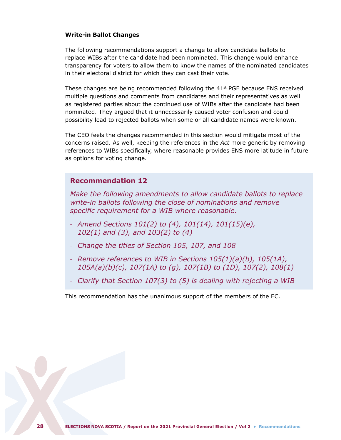#### **Write-in Ballot Changes**

The following recommendations support a change to allow candidate ballots to replace WIBs after the candidate had been nominated. This change would enhance transparency for voters to allow them to know the names of the nominated candidates in their electoral district for which they can cast their vote.

These changes are being recommended following the 41<sup>st</sup> PGE because ENS received multiple questions and comments from candidates and their representatives as well as registered parties about the continued use of WIBs after the candidate had been nominated. They argued that it unnecessarily caused voter confusion and could possibility lead to rejected ballots when some or all candidate names were known.

The CEO feels the changes recommended in this section would mitigate most of the concerns raised. As well, keeping the references in the *Act* more generic by removing references to WIBs specifically, where reasonable provides ENS more latitude in future as options for voting change.

## **Recommendation 12**

*Make the following amendments to allow candidate ballots to replace write-in ballots following the close of nominations and remove specific requirement for a WIB where reasonable.* 

- *Amend Sections 101(2) to (4), 101(14), 101(15)(e), 102(1) and (3), and 103(2) to (4)*
- *Change the titles of Section 105, 107, and 108*
- *Remove references to WIB in Sections 105(1)(a)(b), 105(1A), 105A(a)(b)(c), 107(1A) to (g), 107(1B) to (1D), 107(2), 108(1)*
- *Clarify that Section 107(3) to (5) is dealing with rejecting a WIB*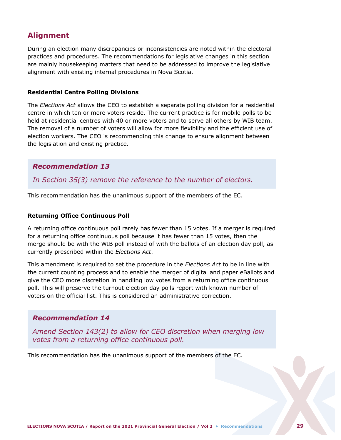## <span id="page-31-0"></span>**Alignment**

During an election many discrepancies or inconsistencies are noted within the electoral practices and procedures. The recommendations for legislative changes in this section are mainly housekeeping matters that need to be addressed to improve the legislative alignment with existing internal procedures in Nova Scotia.

#### **Residential Centre Polling Divisions**

The *Elections Act* allows the CEO to establish a separate polling division for a residential centre in which ten or more voters reside. The current practice is for mobile polls to be held at residential centres with 40 or more voters and to serve all others by WIB team. The removal of a number of voters will allow for more flexibility and the efficient use of election workers. The CEO is recommending this change to ensure alignment between the legislation and existing practice.

## *Recommendation 13*

*In Section 35(3) remove the reference to the number of electors.* 

This recommendation has the unanimous support of the members of the EC.

#### **Returning Office Continuous Poll**

A returning office continuous poll rarely has fewer than 15 votes. If a merger is required for a returning office continuous poll because it has fewer than 15 votes, then the merge should be with the WIB poll instead of with the ballots of an election day poll, as currently prescribed within the *Elections Act*.

This amendment is required to set the procedure in the *Elections Act* to be in line with the current counting process and to enable the merger of digital and paper eBallots and give the CEO more discretion in handling low votes from a returning office continuous poll. This will preserve the turnout election day polls report with known number of voters on the official list. This is considered an administrative correction.

## *Recommendation 14*

*Amend Section 143(2) to allow for CEO discretion when merging low votes from a returning office continuous poll.*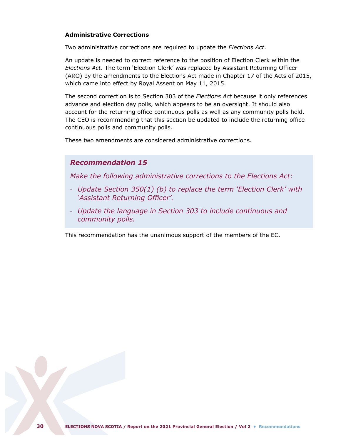#### **Administrative Corrections**

Two administrative corrections are required to update the *Elections Act*.

An update is needed to correct reference to the position of Election Clerk within the *Elections Act*. The term 'Election Clerk' was replaced by Assistant Returning Officer (ARO) by the amendments to the Elections Act made in Chapter 17 of the Acts of 2015, which came into effect by Royal Assent on May 11, 2015.

The second correction is to Section 303 of the *Elections Act* because it only references advance and election day polls, which appears to be an oversight. It should also account for the returning office continuous polls as well as any community polls held. The CEO is recommending that this section be updated to include the returning office continuous polls and community polls.

These two amendments are considered administrative corrections.

## *Recommendation 15*

*Make the following administrative corrections to the Elections Act:*

- *Update Section 350(1) (b) to replace the term 'Election Clerk' with 'Assistant Returning Officer'.*
- *Update the language in Section 303 to include continuous and community polls.*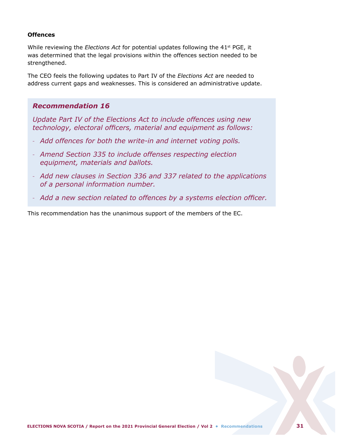#### **Offences**

While reviewing the *Elections Act* for potential updates following the 41<sup>st</sup> PGE, it was determined that the legal provisions within the offences section needed to be strengthened.

The CEO feels the following updates to Part IV of the *Elections Act* are needed to address current gaps and weaknesses. This is considered an administrative update.

## *Recommendation 16*

*Update Part IV of the Elections Act to include offences using new technology, electoral officers, material and equipment as follows:*

- *Add offences for both the write-in and internet voting polls.*
- *Amend Section 335 to include offenses respecting election equipment, materials and ballots.*
- *Add new clauses in Section 336 and 337 related to the applications of a personal information number.*
- *Add a new section related to offences by a systems election officer.*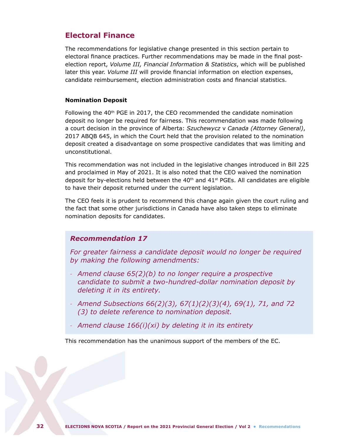## <span id="page-34-0"></span>**Electoral Finance**

The recommendations for legislative change presented in this section pertain to electoral finance practices. Further recommendations may be made in the final postelection report, *Volume III, Financial Information & Statistics*, which will be published later this year. *Volume III* will provide financial information on election expenses, candidate reimbursement, election administration costs and financial statistics.

#### **Nomination Deposit**

Following the 40<sup>th</sup> PGE in 2017, the CEO recommended the candidate nomination deposit no longer be required for fairness. This recommendation was made following a court decision in the province of Alberta: *Szuchewycz* v *Canada (Attorney General)*, 2017 ABQB 645, in which the Court held that the provision related to the nomination deposit created a disadvantage on some prospective candidates that was limiting and unconstitutional.

This recommendation was not included in the legislative changes introduced in Bill 225 and proclaimed in May of 2021. It is also noted that the CEO waived the nomination deposit for by-elections held between the  $40<sup>th</sup>$  and  $41<sup>st</sup>$  PGEs. All candidates are eligible to have their deposit returned under the current legislation.

The CEO feels it is prudent to recommend this change again given the court ruling and the fact that some other jurisdictions in Canada have also taken steps to eliminate nomination deposits for candidates.

## *Recommendation 17*

*For greater fairness a candidate deposit would no longer be required by making the following amendments:*

- *Amend clause 65(2)(b) to no longer require a prospective candidate to submit a two-hundred-dollar nomination deposit by deleting it in its entirety.*
- *Amend Subsections 66(2)(3), 67(1)(2)(3)(4), 69(1), 71, and 72 (3) to delete reference to nomination deposit.*
- *Amend clause 166(i)(xi) by deleting it in its entirety*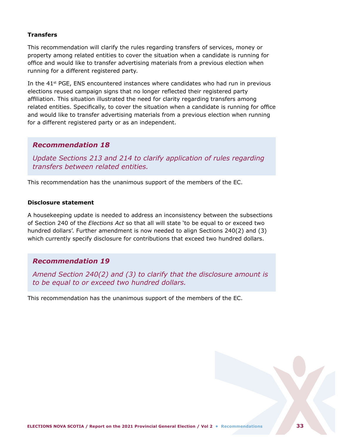#### **Transfers**

This recommendation will clarify the rules regarding transfers of services, money or property among related entities to cover the situation when a candidate is running for office and would like to transfer advertising materials from a previous election when running for a different registered party.

In the  $41<sup>st</sup>$  PGE, ENS encountered instances where candidates who had run in previous elections reused campaign signs that no longer reflected their registered party affiliation. This situation illustrated the need for clarity regarding transfers among related entities. Specifically, to cover the situation when a candidate is running for office and would like to transfer advertising materials from a previous election when running for a different registered party or as an independent.

## *Recommendation 18*

*Update Sections 213 and 214 to clarify application of rules regarding transfers between related entities.*

This recommendation has the unanimous support of the members of the EC.

#### **Disclosure statement**

A housekeeping update is needed to address an inconsistency between the subsections of Section 240 of the *Elections Act* so that all will state 'to be equal to or exceed two hundred dollars'. Further amendment is now needed to align Sections 240(2) and (3) which currently specify disclosure for contributions that exceed two hundred dollars.

## *Recommendation 19*

*Amend Section 240(2) and (3) to clarify that the disclosure amount is to be equal to or exceed two hundred dollars.*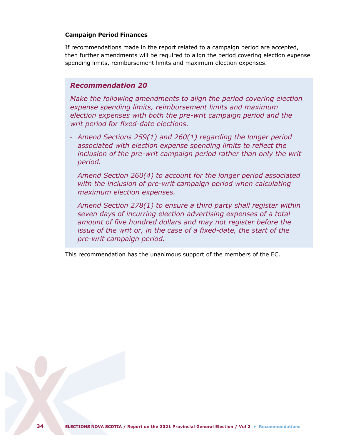#### **Campaign Period Finances**

If recommendations made in the report related to a campaign period are accepted, then further amendments will be required to align the period covering election expense spending limits, reimbursement limits and maximum election expenses.

## *Recommendation 20*

*Make the following amendments to align the period covering election expense spending limits, reimbursement limits and maximum election expenses with both the pre-writ campaign period and the writ period for fixed-date elections.*

- *Amend Sections 259(1) and 260(1) regarding the longer period associated with election expense spending limits to reflect the inclusion of the pre-writ campaign period rather than only the writ period.*
- *Amend Section 260(4) to account for the longer period associated*  with the inclusion of pre-writ campaign period when calculating *maximum election expenses.*
- *Amend Section 278(1) to ensure a third party shall register within seven days of incurring election advertising expenses of a total amount of five hundred dollars and may not register before the issue of the writ or, in the case of a fixed-date, the start of the pre-writ campaign period.*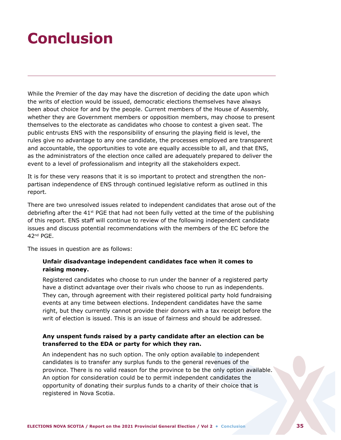## <span id="page-37-0"></span>**Conclusion**

While the Premier of the day may have the discretion of deciding the date upon which the writs of election would be issued, democratic elections themselves have always been about choice for and by the people. Current members of the House of Assembly, whether they are Government members or opposition members, may choose to present themselves to the electorate as candidates who choose to contest a given seat. The public entrusts ENS with the responsibility of ensuring the playing field is level, the rules give no advantage to any one candidate, the processes employed are transparent and accountable, the opportunities to vote are equally accessible to all, and that ENS, as the administrators of the election once called are adequately prepared to deliver the event to a level of professionalism and integrity all the stakeholders expect.

It is for these very reasons that it is so important to protect and strengthen the nonpartisan independence of ENS through continued legislative reform as outlined in this report.

There are two unresolved issues related to independent candidates that arose out of the debriefing after the  $41<sup>st</sup>$  PGE that had not been fully vetted at the time of the publishing of this report. ENS staff will continue to review of the following independent candidate issues and discuss potential recommendations with the members of the EC before the 42nd PGE.

The issues in question are as follows:

### **Unfair disadvantage independent candidates face when it comes to raising money.**

Registered candidates who choose to run under the banner of a registered party have a distinct advantage over their rivals who choose to run as independents. They can, through agreement with their registered political party hold fundraising events at any time between elections. Independent candidates have the same right, but they currently cannot provide their donors with a tax receipt before the writ of election is issued. This is an issue of fairness and should be addressed.

### **Any unspent funds raised by a party candidate after an election can be transferred to the EDA or party for which they ran.**

An independent has no such option. The only option available to independent candidates is to transfer any surplus funds to the general revenues of the province. There is no valid reason for the province to be the only option available. An option for consideration could be to permit independent candidates the opportunity of donating their surplus funds to a charity of their choice that is registered in Nova Scotia.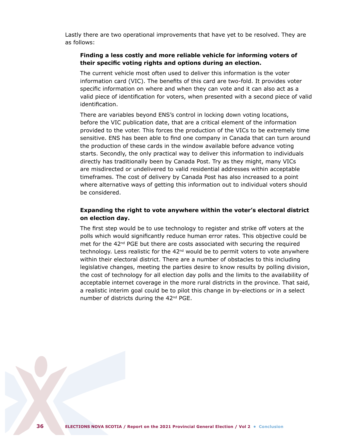Lastly there are two operational improvements that have yet to be resolved. They are as follows:

#### **Finding a less costly and more reliable vehicle for informing voters of their specific voting rights and options during an election.**

The current vehicle most often used to deliver this information is the voter information card (VIC). The benefits of this card are two-fold. It provides voter specific information on where and when they can vote and it can also act as a valid piece of identification for voters, when presented with a second piece of valid identification.

There are variables beyond ENS's control in locking down voting locations, before the VIC publication date, that are a critical element of the information provided to the voter. This forces the production of the VICs to be extremely time sensitive. ENS has been able to find one company in Canada that can turn around the production of these cards in the window available before advance voting starts. Secondly, the only practical way to deliver this information to individuals directly has traditionally been by Canada Post. Try as they might, many VICs are misdirected or undelivered to valid residential addresses within acceptable timeframes. The cost of delivery by Canada Post has also increased to a point where alternative ways of getting this information out to individual voters should be considered.

#### **Expanding the right to vote anywhere within the voter's electoral district on election day.**

The first step would be to use technology to register and strike off voters at the polls which would significantly reduce human error rates. This objective could be met for the 42<sup>nd</sup> PGE but there are costs associated with securing the required technology. Less realistic for the  $42<sup>nd</sup>$  would be to permit voters to vote anywhere within their electoral district. There are a number of obstacles to this including legislative changes, meeting the parties desire to know results by polling division, the cost of technology for all election day polls and the limits to the availability of acceptable internet coverage in the more rural districts in the province. That said, a realistic interim goal could be to pilot this change in by-elections or in a select number of districts during the 42<sup>nd</sup> PGE.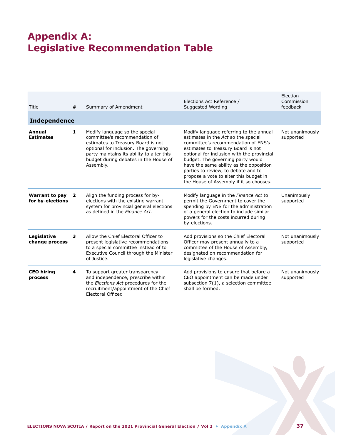## <span id="page-39-0"></span>**Appendix A: Legislative Recommendation Table**

| Title                                     | #            | Summary of Amendment                                                                                                                                                                                                                              | Elections Act Reference /<br>Suggested Wording                                                                                                                                                                                                                                                                                                                                                                        | Election<br>Commission<br>feedback |
|-------------------------------------------|--------------|---------------------------------------------------------------------------------------------------------------------------------------------------------------------------------------------------------------------------------------------------|-----------------------------------------------------------------------------------------------------------------------------------------------------------------------------------------------------------------------------------------------------------------------------------------------------------------------------------------------------------------------------------------------------------------------|------------------------------------|
| <b>Independence</b>                       |              |                                                                                                                                                                                                                                                   |                                                                                                                                                                                                                                                                                                                                                                                                                       |                                    |
| Annual<br><b>Estimates</b>                | $\mathbf{1}$ | Modify language so the special<br>committee's recommendation of<br>estimates to Treasury Board is not<br>optional for inclusion. The governing<br>party maintains its ability to alter this<br>budget during debates in the House of<br>Assembly. | Modify language referring to the annual<br>estimates in the Act so the special<br>committee's recommendation of ENS's<br>estimates to Treasury Board is not<br>optional for inclusion with the provincial<br>budget. The governing party would<br>have the same ability as the opposition<br>parties to review, to debate and to<br>propose a vote to alter this budget in<br>the House of Assembly if it so chooses. | Not unanimously<br>supported       |
| <b>Warrant to pay</b><br>for by-elections | $\mathbf{2}$ | Align the funding process for by-<br>elections with the existing warrant<br>system for provincial general elections<br>as defined in the Finance Act.                                                                                             | Modify language in the Finance Act to<br>permit the Government to cover the<br>spending by ENS for the administration<br>of a general election to include similar<br>powers for the costs incurred during<br>by-elections.                                                                                                                                                                                            | Unanimously<br>supported           |
| Legislative<br>change process             | 3            | Allow the Chief Electoral Officer to<br>present legislative recommendations<br>to a special committee instead of to<br>Executive Council through the Minister<br>of Justice.                                                                      | Add provisions so the Chief Electoral<br>Officer may present annually to a<br>committee of the House of Assembly,<br>designated on recommendation for<br>legislative changes.                                                                                                                                                                                                                                         | Not unanimously<br>supported       |
| <b>CEO</b> hiring<br>process              | 4            | To support greater transparency<br>and independence, prescribe within<br>the Elections Act procedures for the<br>recruitment/appointment of the Chief<br>Electoral Officer.                                                                       | Add provisions to ensure that before a<br>CEO appointment can be made under<br>subsection 7(1), a selection committee<br>shall be formed.                                                                                                                                                                                                                                                                             | Not unanimously<br>supported       |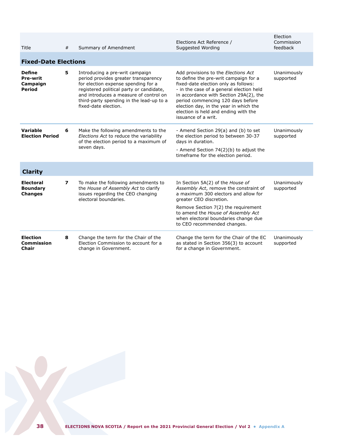| Title                                                         | #                       | Summary of Amendment                                                                                                                                                                                                                                                     | Elections Act Reference /<br>Suggested Wording                                                                                                                                                                                                                                                                                                           | Election<br>Commission<br>feedback |
|---------------------------------------------------------------|-------------------------|--------------------------------------------------------------------------------------------------------------------------------------------------------------------------------------------------------------------------------------------------------------------------|----------------------------------------------------------------------------------------------------------------------------------------------------------------------------------------------------------------------------------------------------------------------------------------------------------------------------------------------------------|------------------------------------|
| <b>Fixed-Date Elections</b>                                   |                         |                                                                                                                                                                                                                                                                          |                                                                                                                                                                                                                                                                                                                                                          |                                    |
| <b>Define</b><br><b>Pre-writ</b><br>Campaign<br><b>Period</b> | 5                       | Introducing a pre-writ campaign<br>period provides greater transparency<br>for election expense spending for a<br>registered political party or candidate,<br>and introduces a measure of control on<br>third-party spending in the lead-up to a<br>fixed-date election. | Add provisions to the Elections Act<br>to define the pre-writ campaign for a<br>fixed-date election only as follows:<br>- in the case of a general election held<br>in accordance with Section 29A(2), the<br>period commencing 120 days before<br>election day, in the year in which the<br>election is held and ending with the<br>issuance of a writ. | Unanimously<br>supported           |
| Variable<br><b>Election Period</b>                            | 6                       | Make the following amendments to the<br>Elections Act to reduce the variability<br>of the election period to a maximum of<br>seven days.                                                                                                                                 | - Amend Section 29(a) and (b) to set<br>the election period to between 30-37<br>days in duration.<br>- Amend Section 74(2)(b) to adjust the<br>timeframe for the election period.                                                                                                                                                                        | Unanimously<br>supported           |
| <b>Clarity</b>                                                |                         |                                                                                                                                                                                                                                                                          |                                                                                                                                                                                                                                                                                                                                                          |                                    |
| <b>Electoral</b><br><b>Boundary</b><br><b>Changes</b>         | $\overline{\mathbf{z}}$ | To make the following amendments to<br>the House of Assembly Act to clarify<br>issues regarding the CEO changing<br>electoral boundaries.                                                                                                                                | In Section 5A(2) of the House of<br>Assembly Act, remove the constraint of<br>a maximum 300 electors and allow for<br>greater CEO discretion.<br>Remove Section 7(2) the requirement<br>to amend the House of Assembly Act<br>when electoral boundaries change due<br>to CEO recommended changes.                                                        | Unanimously<br>supported           |
| <b>Election</b><br>Commission<br><b>Chair</b>                 | 8                       | Change the term for the Chair of the<br>Election Commission to account for a<br>change in Government.                                                                                                                                                                    | Change the term for the Chair of the EC<br>as stated in Section 356(3) to account<br>for a change in Government.                                                                                                                                                                                                                                         | Unanimously<br>supported           |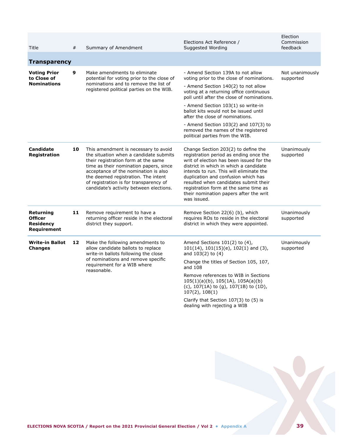| Title                                                          | #  | Summary of Amendment                                                                                                                                                                                                                                                                                                                | Elections Act Reference /<br>Suggested Wording                                                                                                                                                                                                                                                                                                                                                                                                         | Election<br>Commission<br>feedback |
|----------------------------------------------------------------|----|-------------------------------------------------------------------------------------------------------------------------------------------------------------------------------------------------------------------------------------------------------------------------------------------------------------------------------------|--------------------------------------------------------------------------------------------------------------------------------------------------------------------------------------------------------------------------------------------------------------------------------------------------------------------------------------------------------------------------------------------------------------------------------------------------------|------------------------------------|
| <b>Transparency</b>                                            |    |                                                                                                                                                                                                                                                                                                                                     |                                                                                                                                                                                                                                                                                                                                                                                                                                                        |                                    |
| <b>Voting Prior</b><br>to Close of<br><b>Nominations</b>       | 9  | Make amendments to eliminate<br>potential for voting prior to the close of<br>nominations and to remove the list of<br>registered political parties on the WIB.                                                                                                                                                                     | - Amend Section 139A to not allow<br>voting prior to the close of nominations.<br>- Amend Section 140(2) to not allow<br>voting at a returning office continuous<br>poll until after the close of nominations.<br>- Amend Section 103(1) so write-in<br>ballot kits would not be issued until<br>after the close of nominations.<br>- Amend Section $103(2)$ and $107(3)$ to<br>removed the names of the registered<br>political parties from the WIB. | Not unanimously<br>supported       |
| <b>Candidate</b><br><b>Registration</b>                        | 10 | This amendment is necessary to avoid<br>the situation when a candidate submits<br>their registration form at the same<br>time as their nomination papers, since<br>acceptance of the nomination is also<br>the deemed registration. The intent<br>of registration is for transparency of<br>candidate's activity between elections. | Change Section 203(2) to define the<br>registration period as ending once the<br>writ of election has been issued for the<br>district in which in which a candidate<br>intends to run. This will eliminate the<br>duplication and confusion which has<br>resulted when candidates submit their<br>registration form at the same time as<br>their nomination papers after the writ<br>was issued.                                                       | Unanimously<br>supported           |
| Returning<br><b>Officer</b><br><b>Residency</b><br>Requirement | 11 | Remove requirement to have a<br>returning officer reside in the electoral<br>district they support.                                                                                                                                                                                                                                 | Remove Section 22(6) (b), which<br>requires ROs to reside in the electoral<br>district in which they were appointed.                                                                                                                                                                                                                                                                                                                                   | Unanimously<br>supported           |
| <b>Write-in Ballot</b><br><b>Changes</b>                       | 12 | Make the following amendments to<br>allow candidate ballots to replace<br>write-in ballots following the close<br>of nominations and remove specific<br>requirement for a WIB where<br>reasonable.                                                                                                                                  | Amend Sections $101(2)$ to $(4)$ ,<br>$101(14)$ , $101(15)(e)$ , $102(1)$ and (3),<br>and 103(2) to (4)<br>Change the titles of Section 105, 107,                                                                                                                                                                                                                                                                                                      | Unanimously<br>supported           |
|                                                                |    |                                                                                                                                                                                                                                                                                                                                     | and 108<br>Remove references to WIB in Sections<br>$105(1)(a)(b)$ , $105(1A)$ , $105A(a)(b)$<br>(c), 107(1A) to (g), 107(1B) to (1D),<br>107(2), 108(1)                                                                                                                                                                                                                                                                                                |                                    |
|                                                                |    |                                                                                                                                                                                                                                                                                                                                     | Clarify that Section 107(3) to (5) is<br>dealing with rejecting a WIB                                                                                                                                                                                                                                                                                                                                                                                  |                                    |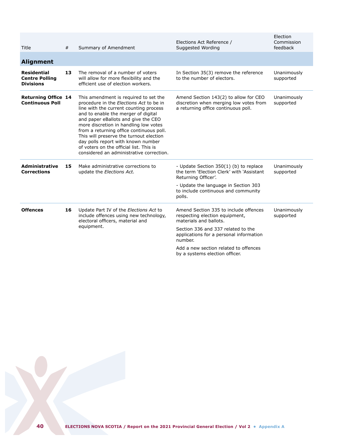| Title                                                           | #  | Summary of Amendment                                                                                                                                                                                                                                                                                                                                                                                                                                                  | Elections Act Reference /<br>Suggested Wording                                                                                                                                                                                                                           | Election<br>Commission<br>feedback |
|-----------------------------------------------------------------|----|-----------------------------------------------------------------------------------------------------------------------------------------------------------------------------------------------------------------------------------------------------------------------------------------------------------------------------------------------------------------------------------------------------------------------------------------------------------------------|--------------------------------------------------------------------------------------------------------------------------------------------------------------------------------------------------------------------------------------------------------------------------|------------------------------------|
| <b>Alignment</b>                                                |    |                                                                                                                                                                                                                                                                                                                                                                                                                                                                       |                                                                                                                                                                                                                                                                          |                                    |
| <b>Residential</b><br><b>Centre Polling</b><br><b>Divisions</b> | 13 | The removal of a number of voters<br>will allow for more flexibility and the<br>efficient use of election workers.                                                                                                                                                                                                                                                                                                                                                    | In Section 35(3) remove the reference<br>to the number of electors.                                                                                                                                                                                                      | Unanimously<br>supported           |
| <b>Returning Office 14</b><br><b>Continuous Poll</b>            |    | This amendment is required to set the<br>procedure in the Elections Act to be in<br>line with the current counting process<br>and to enable the merger of digital<br>and paper eBallots and give the CEO<br>more discretion in handling low votes<br>from a returning office continuous poll.<br>This will preserve the turnout election<br>day polls report with known number<br>of voters on the official list. This is<br>considered an administrative correction. | Amend Section 143(2) to allow for CEO<br>discretion when merging low votes from<br>a returning office continuous poll.                                                                                                                                                   | Unanimously<br>supported           |
| <b>Administrative</b><br><b>Corrections</b>                     | 15 | Make administrative corrections to<br>update the Elections Act.                                                                                                                                                                                                                                                                                                                                                                                                       | - Update Section 350(1) (b) to replace<br>the term 'Election Clerk' with 'Assistant<br>Returning Officer'.<br>- Update the language in Section 303<br>to include continuous and community<br>polls.                                                                      | Unanimously<br>supported           |
| <b>Offences</b>                                                 | 16 | Update Part IV of the Elections Act to<br>include offences using new technology,<br>electoral officers, material and<br>equipment.                                                                                                                                                                                                                                                                                                                                    | Amend Section 335 to include offences<br>respecting election equipment,<br>materials and ballots.<br>Section 336 and 337 related to the<br>applications for a personal information<br>number.<br>Add a new section related to offences<br>by a systems election officer. | Unanimously<br>supported           |